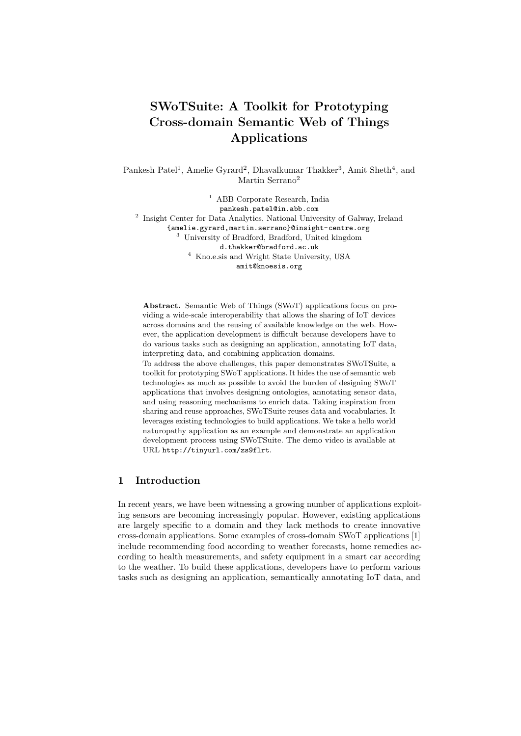# **SWoTSuite: A Toolkit for Prototyping Cross-domain Semantic Web of Things Applications**

Pankesh Patel<sup>1</sup>, Amelie Gyrard<sup>2</sup>, Dhavalkumar Thakker<sup>3</sup>, Amit Sheth<sup>4</sup>, and Martin Serrano<sup>2</sup>

<sup>1</sup> ABB Corporate Research, India pankesh.patel@in.abb.com <sup>2</sup> Insight Center for Data Analytics, National University of Galway, Ireland {amelie.gyrard,martin.serrano}@insight-centre.org

<sup>3</sup> University of Bradford, Bradford, United kingdom d.thakker@bradford.ac.uk  $^4\,$  Kno.e.sis and Wright State University, USA

amit@knoesis.org

**Abstract.** Semantic Web of Things (SWoT) applications focus on providing a wide-scale interoperability that allows the sharing of IoT devices across domains and the reusing of available knowledge on the web. However, the application development is difficult because developers have to do various tasks such as designing an application, annotating IoT data, interpreting data, and combining application domains.

To address the above challenges, this paper demonstrates SWoTSuite, a toolkit for prototyping SWoT applications. It hides the use of semantic web technologies as much as possible to avoid the burden of designing SWoT applications that involves designing ontologies, annotating sensor data, and using reasoning mechanisms to enrich data. Taking inspiration from sharing and reuse approaches, SWoTSuite reuses data and vocabularies. It leverages existing technologies to build applications. We take a hello world naturopathy application as an example and demonstrate an application development process using SWoTSuite. The demo video is available at URL http://tinyurl.com/zs9flrt.

## **1 Introduction**

In recent years, we have been witnessing a growing number of applications exploiting sensors are becoming increasingly popular. However, existing applications are largely specific to a domain and they lack methods to create innovative cross-domain applications. Some examples of cross-domain SWoT applications [1] include recommending food according to weather forecasts, home remedies according to health measurements, and safety equipment in a smart car according to the weather. To build these applications, developers have to perform various tasks such as designing an application, semantically annotating IoT data, and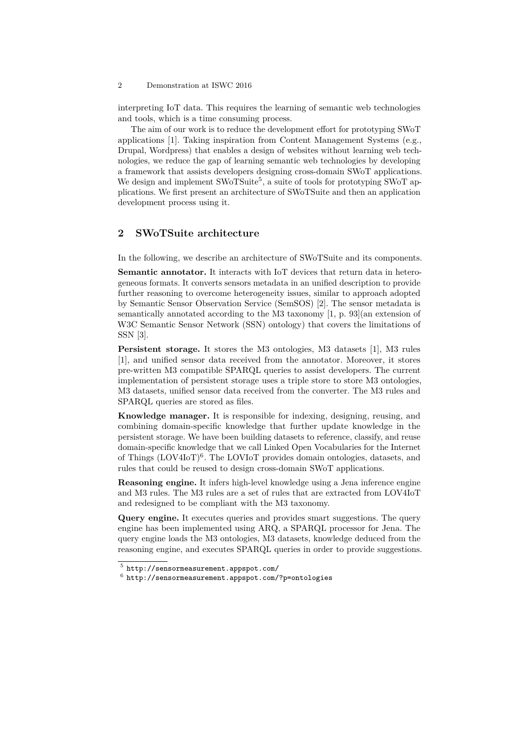#### 2 Demonstration at ISWC 2016

interpreting IoT data. This requires the learning of semantic web technologies and tools, which is a time consuming process.

The aim of our work is to reduce the development effort for prototyping SWoT applications [1]. Taking inspiration from Content Management Systems (e.g., Drupal, Wordpress) that enables a design of websites without learning web technologies, we reduce the gap of learning semantic web technologies by developing a framework that assists developers designing cross-domain SWoT applications. We design and implement SWoTSuite<sup>5</sup>, a suite of tools for prototyping SWoT applications. We first present an architecture of SWoTSuite and then an application development process using it.

## **2 SWoTSuite architecture**

In the following, we describe an architecture of SWoTSuite and its components.

**Semantic annotator.** It interacts with IoT devices that return data in heterogeneous formats. It converts sensors metadata in an unified description to provide further reasoning to overcome heterogeneity issues, similar to approach adopted by Semantic Sensor Observation Service (SemSOS) [2]. The sensor metadata is semantically annotated according to the M3 taxonomy [1, p. 93](an extension of W3C Semantic Sensor Network (SSN) ontology) that covers the limitations of SSN [3].

**Persistent storage.** It stores the M3 ontologies, M3 datasets [1], M3 rules [1], and unified sensor data received from the annotator. Moreover, it stores pre-written M3 compatible SPARQL queries to assist developers. The current implementation of persistent storage uses a triple store to store M3 ontologies, M3 datasets, unified sensor data received from the converter. The M3 rules and SPARQL queries are stored as files.

**Knowledge manager.** It is responsible for indexing, designing, reusing, and combining domain-specific knowledge that further update knowledge in the persistent storage. We have been building datasets to reference, classify, and reuse domain-specific knowledge that we call Linked Open Vocabularies for the Internet of Things (LOV4IoT)<sup>6</sup>. The LOVIoT provides domain ontologies, datasets, and rules that could be reused to design cross-domain SWoT applications.

**Reasoning engine.** It infers high-level knowledge using a Jena inference engine and M3 rules. The M3 rules are a set of rules that are extracted from LOV4IoT and redesigned to be compliant with the M3 taxonomy.

**Query engine.** It executes queries and provides smart suggestions. The query engine has been implemented using ARQ, a SPARQL processor for Jena. The query engine loads the M3 ontologies, M3 datasets, knowledge deduced from the reasoning engine, and executes SPARQL queries in order to provide suggestions.

 $5$  http://sensormeasurement.appspot.com/

 $^6$  http://sensormeasurement.appspot.com/?p=ontologies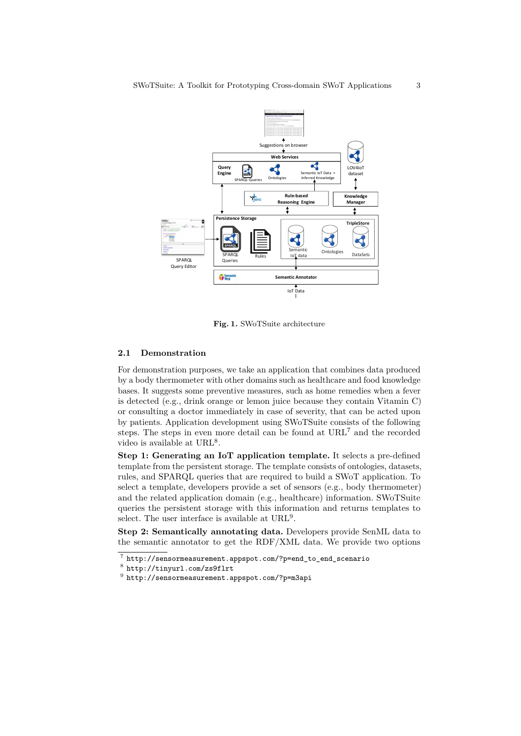

**Fig. 1.** SWoTSuite architecture

#### **2.1 Demonstration**

For demonstration purposes, we take an application that combines data produced by a body thermometer with other domains such as healthcare and food knowledge bases. It suggests some preventive measures, such as home remedies when a fever is detected (e.g., drink orange or lemon juice because they contain Vitamin C) or consulting a doctor immediately in case of severity, that can be acted upon by patients. Application development using SWoTSuite consists of the following steps. The steps in even more detail can be found at URL<sup>7</sup> and the recorded video is available at  $URL<sup>8</sup>$ .

**Step 1: Generating an IoT application template.** It selects a pre-defined template from the persistent storage. The template consists of ontologies, datasets, rules, and SPARQL queries that are required to build a SWoT application. To select a template, developers provide a set of sensors (e.g., body thermometer) and the related application domain (e.g., healthcare) information. SWoTSuite queries the persistent storage with this information and returns templates to select. The user interface is available at  $\mathrm{URL}^9$ .

**Step 2: Semantically annotating data.** Developers provide SenML data to the semantic annotator to get the  $RDF/XML$  data. We provide two options

<sup>7</sup> http://sensormeasurement.appspot.com/?p=end\_to\_end\_scenario

<sup>8</sup> http://tinyurl.com/zs9flrt

 $^9$  http://sensormeasurement.appspot.com/?p=m3api